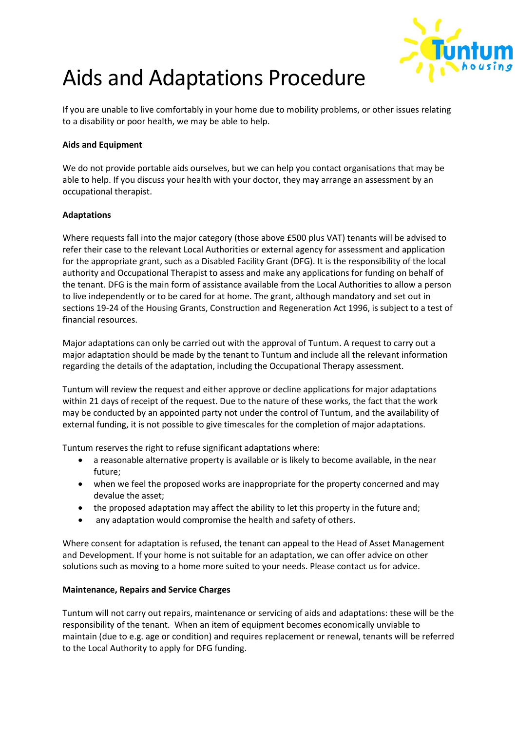

# Aids and Adaptations Procedure

If you are unable to live comfortably in your home due to mobility problems, or other issues relating to a disability or poor health, we may be able to help.

## **Aids and Equipment**

We do not provide portable aids ourselves, but we can help you contact organisations that may be able to help. If you discuss your health with your doctor, they may arrange an assessment by an occupational therapist.

## **Adaptations**

Where requests fall into the major category (those above £500 plus VAT) tenants will be advised to refer their case to the relevant Local Authorities or external agency for assessment and application for the appropriate grant, such as a Disabled Facility Grant (DFG). It is the responsibility of the local authority and Occupational Therapist to assess and make any applications for funding on behalf of the tenant. DFG is the main form of assistance available from the Local Authorities to allow a person to live independently or to be cared for at home. The grant, although mandatory and set out in sections 19-24 of the Housing Grants, Construction and Regeneration Act 1996, is subject to a test of financial resources.

Major adaptations can only be carried out with the approval of Tuntum. A request to carry out a major adaptation should be made by the tenant to Tuntum and include all the relevant information regarding the details of the adaptation, including the Occupational Therapy assessment.

Tuntum will review the request and either approve or decline applications for major adaptations within 21 days of receipt of the request. Due to the nature of these works, the fact that the work may be conducted by an appointed party not under the control of Tuntum, and the availability of external funding, it is not possible to give timescales for the completion of major adaptations.

Tuntum reserves the right to refuse significant adaptations where:

- a reasonable alternative property is available or is likely to become available, in the near future;
- when we feel the proposed works are inappropriate for the property concerned and may devalue the asset;
- the proposed adaptation may affect the ability to let this property in the future and;
- any adaptation would compromise the health and safety of others.

Where consent for adaptation is refused, the tenant can appeal to the Head of Asset Management and Development. If your home is not suitable for an adaptation, we can offer advice on other solutions such as moving to a home more suited to your needs. Please contact us for advice.

#### **Maintenance, Repairs and Service Charges**

Tuntum will not carry out repairs, maintenance or servicing of aids and adaptations: these will be the responsibility of the tenant. When an item of equipment becomes economically unviable to maintain (due to e.g. age or condition) and requires replacement or renewal, tenants will be referred to the Local Authority to apply for DFG funding.